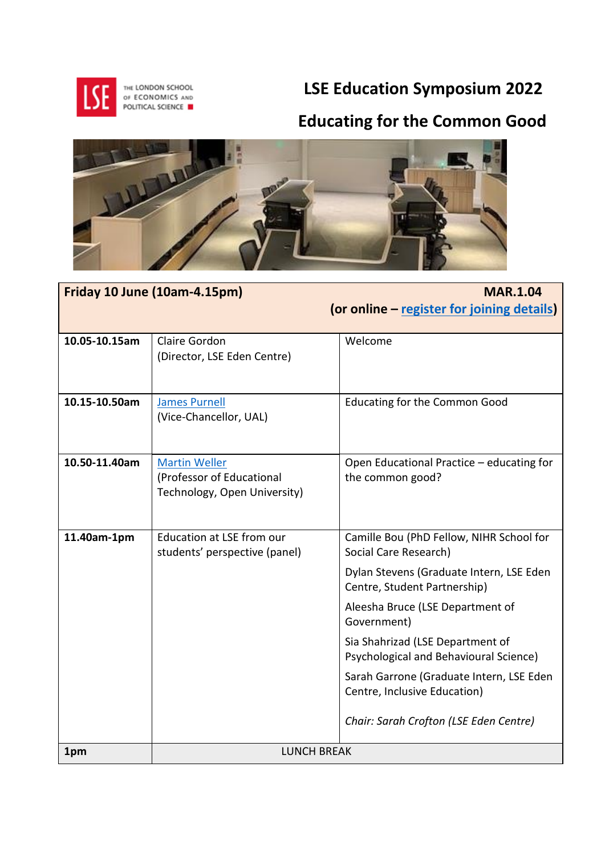

 **LSE Education Symposium 2022**

## **Educating for the Common Good**



| Friday 10 June (10am-4.15pm) |                                                | <b>MAR.1.04</b>                                                          |
|------------------------------|------------------------------------------------|--------------------------------------------------------------------------|
|                              |                                                | (or online - register for joining details)                               |
| 10.05-10.15am                | Claire Gordon                                  | Welcome                                                                  |
|                              | (Director, LSE Eden Centre)                    |                                                                          |
|                              |                                                |                                                                          |
|                              |                                                |                                                                          |
| 10.15-10.50am                | <b>James Purnell</b><br>(Vice-Chancellor, UAL) | <b>Educating for the Common Good</b>                                     |
|                              |                                                |                                                                          |
|                              |                                                |                                                                          |
| 10.50-11.40am                | <b>Martin Weller</b>                           | Open Educational Practice - educating for                                |
|                              | (Professor of Educational                      | the common good?                                                         |
|                              | Technology, Open University)                   |                                                                          |
|                              |                                                |                                                                          |
| 11.40am-1pm                  | <b>Education at LSE from our</b>               | Camille Bou (PhD Fellow, NIHR School for                                 |
|                              | students' perspective (panel)                  | Social Care Research)                                                    |
|                              |                                                | Dylan Stevens (Graduate Intern, LSE Eden<br>Centre, Student Partnership) |
|                              |                                                | Aleesha Bruce (LSE Department of<br>Government)                          |
|                              |                                                | Sia Shahrizad (LSE Department of                                         |
|                              |                                                | Psychological and Behavioural Science)                                   |
|                              |                                                | Sarah Garrone (Graduate Intern, LSE Eden                                 |
|                              |                                                | Centre, Inclusive Education)                                             |
|                              |                                                | Chair: Sarah Crofton (LSE Eden Centre)                                   |
| 1pm                          | <b>LUNCH BREAK</b>                             |                                                                          |